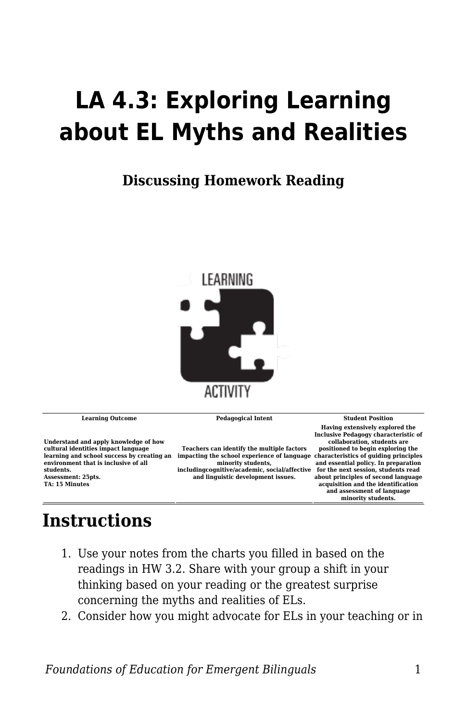## **LA 4.3: Exploring Learning about EL Myths and Realities**

## **Discussing Homework Reading**



**Learning Outcome Pedagogical Intent Student Position**

**Teachers can identify the multiple factors**

**and linguistic development issues.**

**Understand and apply knowledge of how cultural identities impact language learning and school success by creating an impacting the school experience of language characteristics of guiding principles environment that is inclusive of all students. Assessment: 25pts. TA: 15 Minutes**

**minority students, includingcognitive/academic, social/affective and essential policy. In preparation for the next session, students read Having extensively explored the Inclusive Pedagogy characteristic of collaboration, students are positioned to begin exploring the about principles of second language acquisition and the identification and assessment of language minority students.**

## **Instructions**

- 1. Use your notes from the charts you filled in based on the readings in HW 3.2. Share with your group a shift in your thinking based on your reading or the greatest surprise concerning the myths and realities of ELs.
- 2. Consider how you might advocate for ELs in your teaching or in